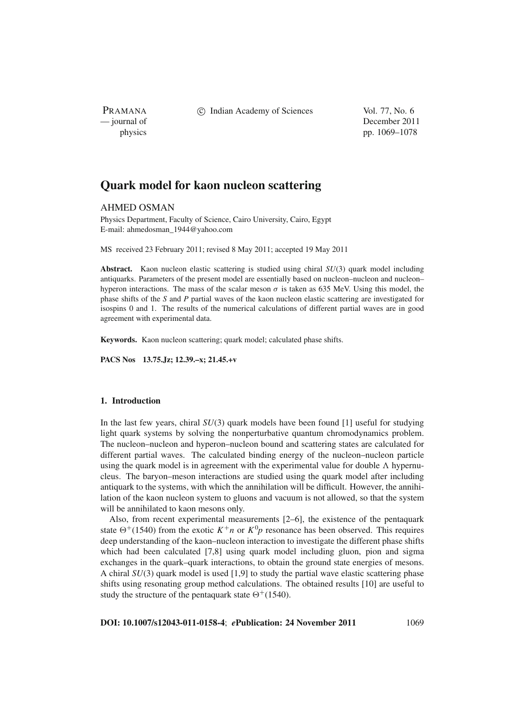PRAMANA

c Indian Academy of Sciences Vol. 77, No. 6

— journal of December 2011 physics pp. 1069–1078

# **Quark model for kaon nucleon scattering**

AHMED OSMAN

Physics Department, Faculty of Science, Cairo University, Cairo, Egypt E-mail: ahmedosman\_1944@yahoo.com

MS received 23 February 2011; revised 8 May 2011; accepted 19 May 2011

**Abstract.** Kaon nucleon elastic scattering is studied using chiral *SU*(3) quark model including antiquarks. Parameters of the present model are essentially based on nucleon–nucleon and nucleon– hyperon interactions. The mass of the scalar meson  $\sigma$  is taken as 635 MeV. Using this model, the phase shifts of the *S* and *P* partial waves of the kaon nucleon elastic scattering are investigated for isospins 0 and 1. The results of the numerical calculations of different partial waves are in good agreement with experimental data.

**Keywords.** Kaon nucleon scattering; quark model; calculated phase shifts.

**PACS Nos 13.75.Jz; 12.39.–x; 21.45.+v**

## **1. Introduction**

In the last few years, chiral *SU*(3) quark models have been found [1] useful for studying light quark systems by solving the nonperturbative quantum chromodynamics problem. The nucleon–nucleon and hyperon–nucleon bound and scattering states are calculated for different partial waves. The calculated binding energy of the nucleon–nucleon particle using the quark model is in agreement with the experimental value for double  $\Lambda$  hypernucleus. The baryon–meson interactions are studied using the quark model after including antiquark to the systems, with which the annihilation will be difficult. However, the annihilation of the kaon nucleon system to gluons and vacuum is not allowed, so that the system will be annihilated to kaon mesons only.

Also, from recent experimental measurements [2–6], the existence of the pentaquark state  $\Theta^+(1540)$  from the exotic  $K^+n$  or  $K^0p$  resonance has been observed. This requires deep understanding of the kaon–nucleon interaction to investigate the different phase shifts which had been calculated [7,8] using quark model including gluon, pion and sigma exchanges in the quark–quark interactions, to obtain the ground state energies of mesons. A chiral *SU*(3) quark model is used [1,9] to study the partial wave elastic scattering phase shifts using resonating group method calculations. The obtained results [10] are useful to study the structure of the pentaquark state  $\Theta^+(1540)$ .

**DOI: 10.1007/s12043-011-0158-4**; *e***Publication: 24 November 2011** 1069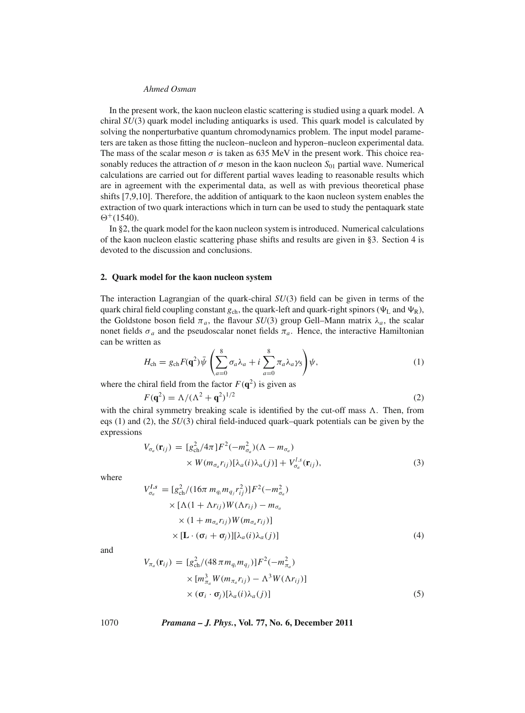In the present work, the kaon nucleon elastic scattering is studied using a quark model. A chiral *SU*(3) quark model including antiquarks is used. This quark model is calculated by solving the nonperturbative quantum chromodynamics problem. The input model parameters are taken as those fitting the nucleon–nucleon and hyperon–nucleon experimental data. The mass of the scalar meson  $\sigma$  is taken as 635 MeV in the present work. This choice reasonably reduces the attraction of  $\sigma$  meson in the kaon nucleon  $S_{01}$  partial wave. Numerical calculations are carried out for different partial waves leading to reasonable results which are in agreement with the experimental data, as well as with previous theoretical phase shifts [7,9,10]. Therefore, the addition of antiquark to the kaon nucleon system enables the extraction of two quark interactions which in turn can be used to study the pentaquark state  $\Theta^+(1540)$ .

In §2, the quark model for the kaon nucleon system is introduced. Numerical calculations of the kaon nucleon elastic scattering phase shifts and results are given in §3. Section 4 is devoted to the discussion and conclusions.

#### **2. Quark model for the kaon nucleon system**

The interaction Lagrangian of the quark-chiral *SU*(3) field can be given in terms of the quark chiral field coupling constant  $g_{ch}$ , the quark-left and quark-right spinors ( $\Psi_L$  and  $\Psi_R$ ), the Goldstone boson field  $\pi_a$ , the flavour *SU*(3) group Gell–Mann matrix  $\lambda_a$ , the scalar nonet fields  $\sigma_a$  and the pseudoscalar nonet fields  $\pi_a$ . Hence, the interactive Hamiltonian can be written as

$$
H_{\rm ch} = g_{\rm ch} F(\mathbf{q}^2) \bar{\psi} \left( \sum_{a=0}^8 \sigma_a \lambda_a + i \sum_{a=0}^8 \pi_a \lambda_a \gamma_5 \right) \psi, \tag{1}
$$

where the chiral field from the factor  $F(\mathbf{q}^2)$  is given as

$$
F(\mathbf{q}^2) = \Lambda / (\Lambda^2 + \mathbf{q}^2)^{1/2}
$$
 (2)

with the chiral symmetry breaking scale is identified by the cut-off mass  $\Lambda$ . Then, from eqs (1) and (2), the *SU*(3) chiral field-induced quark–quark potentials can be given by the expressions

$$
V_{\sigma_a}(\mathbf{r}_{ij}) = [g_{\text{ch}}^2/4\pi]F^2(-m_{\sigma_a}^2)(\Lambda - m_{\sigma_a})
$$
  
×  $W(m_{\sigma_a}r_{ij})[\lambda_a(i)\lambda_a(j)] + V_{\sigma_a}^{l.s}(\mathbf{r}_{ij}),$  (3)

where

$$
V_{\sigma_a}^{l.s} = [g_{\text{ch}}^2/(16\pi m_{q_i}m_{q_j}r_{ij}^2)]F^2(-m_{\sigma_a}^2)
$$
  
× [Λ(1 + Λr\_{ij})W(Λr\_{ij}) – m\_{\sigma\_a}  
× (1 + m\_{\sigma\_a}r\_{ij})W(m\_{\sigma\_a}r\_{ij})]  
× [L ⋅ (σ<sub>i</sub> + σ<sub>j</sub>)][λ<sub>a</sub>(i)λ<sub>a</sub>(j)] (4)

and

$$
V_{\pi_a}(\mathbf{r}_{ij}) = [g_{\text{ch}}^2/(48 \pi m_{q_i} m_{q_j})]F^2(-m_{\pi_a}^2)
$$
  
 
$$
\times [m_{\pi_a}^3 W(m_{\pi_a} r_{ij}) - \Lambda^3 W(\Lambda r_{ij})]
$$
  
 
$$
\times (\sigma_i \cdot \sigma_j)[\lambda_a(i)\lambda_a(j)]
$$
 (5)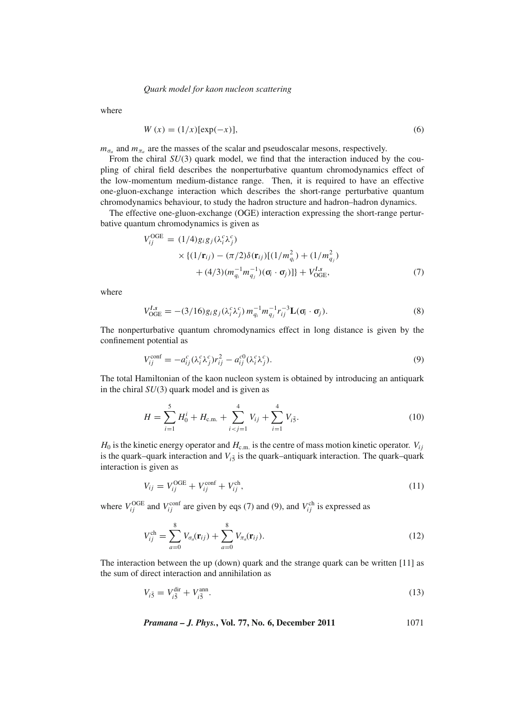#### *Quark model for kaon nucleon scattering*

where

$$
W(x) = (1/x)[\exp(-x)],
$$
\n(6)

 $m_{\sigma_a}$  and  $m_{\pi_a}$  are the masses of the scalar and pseudoscalar mesons, respectively.

From the chiral *SU*(3) quark model, we find that the interaction induced by the coupling of chiral field describes the nonperturbative quantum chromodynamics effect of the low-momentum medium-distance range. Then, it is required to have an effective one-gluon-exchange interaction which describes the short-range perturbative quantum chromodynamics behaviour, to study the hadron structure and hadron–hadron dynamics.

The effective one-gluon-exchange (OGE) interaction expressing the short-range perturbative quantum chromodynamics is given as

$$
V_{ij}^{\text{OGE}} = (1/4)g_i g_j(\lambda_i^c \lambda_j^c)
$$
  
 
$$
\times \{(1/\mathbf{r}_{ij}) - (\pi/2)\delta(\mathbf{r}_{ij})[(1/m_{q_i}^2) + (1/m_{q_j}^2) + (4/3)(m_{q_i}^{-1}m_{q_j}^{-1})(\mathbf{o}_i \cdot \mathbf{o}_j)]\} + V_{\text{OGE}}^{Ls},
$$
 (7)

where

$$
V_{\text{OGE}}^{l.s} = -(3/16)g_i g_j (\lambda_i^c \lambda_j^c) m_{q_i}^{-1} m_{q_j}^{-1} r_{ij}^{-3} \mathbf{L}(\mathbf{\sigma}_i \cdot \mathbf{\sigma}_j). \tag{8}
$$

The nonperturbative quantum chromodynamics effect in long distance is given by the confinement potential as

$$
V_{ij}^{\text{conf}} = -a_{ij}^c (\lambda_i^c \lambda_j^c) r_{ij}^2 - a_{ij}^{c0} (\lambda_i^c \lambda_j^c).
$$
\n(9)

The total Hamiltonian of the kaon nucleon system is obtained by introducing an antiquark in the chiral *SU*(3) quark model and is given as

$$
H = \sum_{i=1}^{5} H_0^i + H_{\text{c.m.}} + \sum_{i < j=1}^{4} V_{ij} + \sum_{i=1}^{4} V_{i\bar{5}}.\tag{10}
$$

 $H_0$  is the kinetic energy operator and  $H_{c.m.}$  is the centre of mass motion kinetic operator.  $V_{ij}$ is the quark–quark interaction and  $V_{i\bar{5}}$  is the quark–antiquark interaction. The quark–quark interaction is given as

$$
V_{ij} = V_{ij}^{\text{OGE}} + V_{ij}^{\text{conf}} + V_{ij}^{\text{ch}},\tag{11}
$$

where  $V_{ij}^{\text{OGE}}$  and  $V_{ij}^{\text{conf}}$  are given by eqs (7) and (9), and  $V_{ij}^{\text{ch}}$  is expressed as

$$
V_{ij}^{\text{ch}} = \sum_{a=0}^{8} V_{\sigma_a}(\mathbf{r}_{ij}) + \sum_{a=0}^{8} V_{\pi_a}(\mathbf{r}_{ij}).
$$
\n(12)

The interaction between the up (down) quark and the strange quark can be written [11] as the sum of direct interaction and annihilation as

$$
V_{i\bar{5}} = V_{i\bar{5}}^{\text{dir}} + V_{i\bar{5}}^{\text{ann}}.
$$
\n
$$
(13)
$$

*Pramana – J. Phys.***, Vol. 77, No. 6, December 2011** 1071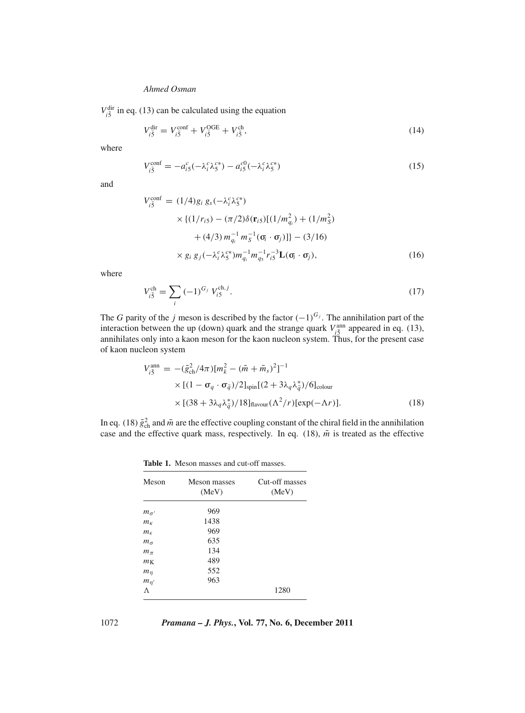$V_{i\bar{5}}^{\text{dir}}$  in eq. (13) can be calculated using the equation

$$
V_{i\bar{5}}^{\text{dir}} = V_{i\bar{5}}^{\text{conf}} + V_{i\bar{5}}^{\text{OGE}} + V_{i\bar{5}}^{\text{ch}},\tag{14}
$$

where

$$
V_{i\bar{5}}^{\text{conf}} = -a_{i\bar{5}}^c(-\lambda_i^c \lambda_5^{c*}) - a_{i\bar{5}}^{c0}(-\lambda_i^c \lambda_5^{c*})
$$
\n(15)

and

$$
V_{i\bar{5}}^{\text{conf}} = (1/4)g_i g_s(-\lambda_i^c \lambda_j^{c*})
$$
  
 
$$
\times \{(1/r_{i5}) - (\pi/2)\delta(\mathbf{r}_{i5})[(1/m_{q_i}^2) + (1/m_S^2) + (4/3) m_{q_i}^{-1} m_S^{-1}(\sigma_i \cdot \sigma_j)]\} - (3/16)
$$
  
 
$$
\times g_i g_j(-\lambda_i^c \lambda_j^{c*}) m_{q_i}^{-1} m_{q_s}^{-1} r_{i\bar{5}}^{-3} \mathbf{L}(\sigma_i \cdot \sigma_j), \qquad (16)
$$

where

$$
V_{i\bar{5}}^{\text{ch}} = \sum_{i} (-1)^{G_j} V_{i5}^{\text{ch},j}.
$$
 (17)

The *G* parity of the *j* meson is described by the factor  $(-1)^{G_j}$ . The annihilation part of the interaction between the up (down) quark and the strange quark  $V_{i\bar{5}}^{ann}$  appeared in eq. (13), annihilates only into a kaon meson for the kaon nucleon system. Thus, for the present case of kaon nucleon system

$$
V_{i\bar{5}}^{\text{ann}} = -(\tilde{g}_{\text{ch}}^2/4\pi)[m_k^2 - (\tilde{m} + \tilde{m}_s)^2]^{-1}
$$
  
× [(1 –  $\sigma_q \cdot \sigma_{\bar{q}})/2]$ <sub>spin</sub>[(2 + 3 $\lambda_q \lambda_{\bar{q}}^*$ )/6]<sub>colour</sub>  
× [(38 + 3 $\lambda_q \lambda_{\bar{q}}^*$ )/18]<sub>flavour</sub> ( $\Lambda^2/r$ )[exp(- $\Lambda r$ )]. (18)

In eq. (18)  $\tilde{g}^2_{ch}$  and  $\tilde{m}$  are the effective coupling constant of the chiral field in the annihilation case and the effective quark mass, respectively. In eq. (18),  $\tilde{m}$  is treated as the effective

**Table 1.** Meson masses and cut-off masses.

| Meson          | Meson masses<br>(MeV) | Cut-off masses<br>(MeV) |
|----------------|-----------------------|-------------------------|
| $m_{\sigma'}$  | 969                   |                         |
| m <sub>k</sub> | 1438                  |                         |
| $m_{\epsilon}$ | 969                   |                         |
| $m_{\sigma}$   | 635                   |                         |
| $m_{\pi}$      | 134                   |                         |
| m <sub>K</sub> | 489                   |                         |
| $m_n$          | 552                   |                         |
| $m_{\eta'}$    | 963                   |                         |
| Λ              |                       | 1280                    |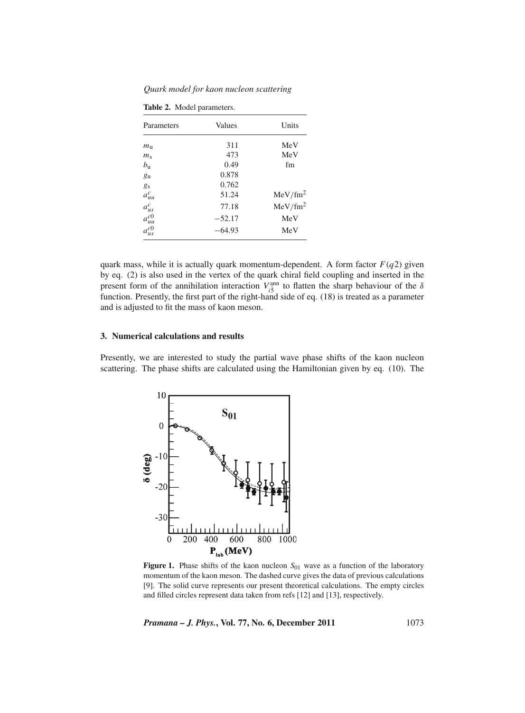*Quark model for kaon nucleon scattering*

|  |  | Table 2. Model parameters. |
|--|--|----------------------------|
|--|--|----------------------------|

| Parameters     | Values   | Units               |
|----------------|----------|---------------------|
| $m_{\rm n}$    | 311      | MeV                 |
| $m_{\rm s}$    | 473      | MeV                 |
| $b_{\rm u}$    | 0.49     | fm                  |
| g <sub>u</sub> | 0.878    |                     |
| gs             | 0.762    |                     |
| $a_{uu}^c$     | 51.24    | MeV/fm <sup>2</sup> |
| $a_{us}^c$     | 77.18    | MeV/fm <sup>2</sup> |
| $a_{uu}^{c0}$  | $-52.17$ | MeV                 |
| $\sigma^{c0}$  | $-64.93$ | MeV                 |

quark mass, while it is actually quark momentum-dependent. A form factor  $F(q2)$  given by eq. (2) is also used in the vertex of the quark chiral field coupling and inserted in the present form of the annihilation interaction  $V_{i\bar{5}}^{\text{ann}}$  to flatten the sharp behaviour of the  $\delta$ function. Presently, the first part of the right-hand side of eq. (18) is treated as a parameter and is adjusted to fit the mass of kaon meson.

## **3. Numerical calculations and results**

Presently, we are interested to study the partial wave phase shifts of the kaon nucleon scattering. The phase shifts are calculated using the Hamiltonian given by eq. (10). The



**Figure 1.** Phase shifts of the kaon nucleon  $S_{01}$  wave as a function of the laboratory momentum of the kaon meson. The dashed curve gives the data of previous calculations [9]. The solid curve represents our present theoretical calculations. The empty circles and filled circles represent data taken from refs [12] and [13], respectively.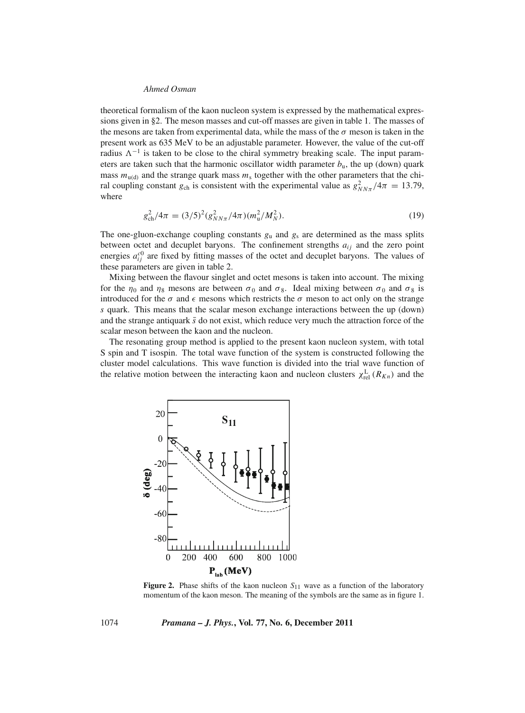theoretical formalism of the kaon nucleon system is expressed by the mathematical expressions given in §2. The meson masses and cut-off masses are given in table 1. The masses of the mesons are taken from experimental data, while the mass of the  $\sigma$  meson is taken in the present work as 635 MeV to be an adjustable parameter. However, the value of the cut-off radius  $\Lambda^{-1}$  is taken to be close to the chiral symmetry breaking scale. The input parameters are taken such that the harmonic oscillator width parameter  $b<sub>u</sub>$ , the up (down) quark mass  $m_{u(d)}$  and the strange quark mass  $m_s$  together with the other parameters that the chiral coupling constant  $g_{ch}$  is consistent with the experimental value as  $g_{NN\pi}^2/4\pi = 13.79$ , where

$$
g_{\rm ch}^2/4\pi = (3/5)^2 (g_{NN\pi}^2/4\pi)(m_{\rm u}^2/M_N^2). \tag{19}
$$

The one-gluon-exchange coupling constants  $g_u$  and  $g_s$  are determined as the mass splits between octet and decuplet baryons. The confinement strengths  $a_{ij}$  and the zero point energies  $a_{ij}^{c0}$  are fixed by fitting masses of the octet and decuplet baryons. The values of these parameters are given in table 2.

Mixing between the flavour singlet and octet mesons is taken into account. The mixing for the  $\eta_0$  and  $\eta_8$  mesons are between  $\sigma_0$  and  $\sigma_8$ . Ideal mixing between  $\sigma_0$  and  $\sigma_8$  is introduced for the  $\sigma$  and  $\epsilon$  mesons which restricts the  $\sigma$  meson to act only on the strange *s* quark. This means that the scalar meson exchange interactions between the up (down) and the strange antiquark  $\bar{s}$  do not exist, which reduce very much the attraction force of the scalar meson between the kaon and the nucleon.

The resonating group method is applied to the present kaon nucleon system, with total S spin and T isospin. The total wave function of the system is constructed following the cluster model calculations. This wave function is divided into the trial wave function of the relative motion between the interacting kaon and nucleon clusters  $\chi_{rel}^L(R_{Kn})$  and the



**Figure 2.** Phase shifts of the kaon nucleon  $S_{11}$  wave as a function of the laboratory momentum of the kaon meson. The meaning of the symbols are the same as in figure 1.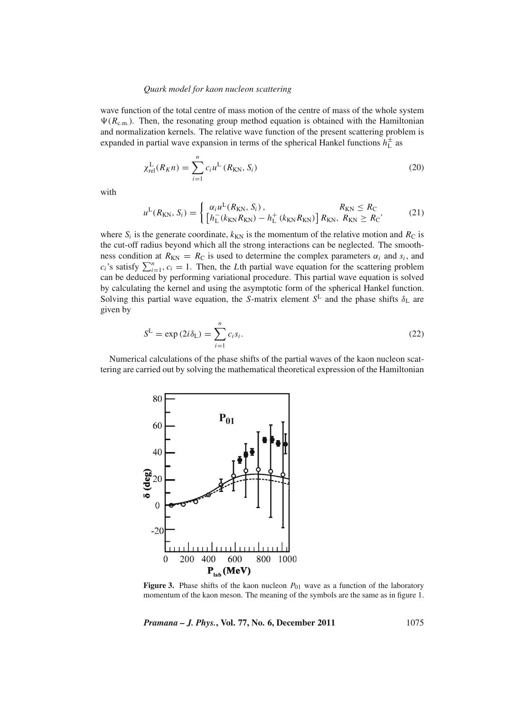#### *Quark model for kaon nucleon scattering*

wave function of the total centre of mass motion of the centre of mass of the whole system  $\Psi(R_{\text{c.m.}})$ . Then, the resonating group method equation is obtained with the Hamiltonian and normalization kernels. The relative wave function of the present scattering problem is expanded in partial wave expansion in terms of the spherical Hankel functions  $h<sub>L</sub><sup>±</sup>$  as

$$
\chi_{\rm rel}^{\rm L}(R_K n) = \sum_{i=1}^{n} c_i u^{\rm L}(R_{\rm KN}, S_i)
$$
 (20)

with

$$
u^{L}(R_{KN}, S_{i}) = \begin{cases} \alpha_{i} u^{L}(R_{KN}, S_{i}), & R_{KN} \leq R_{C} \\ \left[ h_{L}^{-}(k_{KN}R_{KN}) - h_{L}^{+}(k_{KN}R_{KN}) \right] R_{KN}, & R_{KN} \geq R_{C} \end{cases}
$$
(21)

where  $S_i$  is the generate coordinate,  $k_{KN}$  is the momentum of the relative motion and  $R_C$  is the cut-off radius beyond which all the strong interactions can be neglected. The smoothness condition at  $R_{KN} = R_C$  is used to determine the complex parameters  $\alpha_i$  and  $s_i$ , and  $c_i$ 's satisfy  $\sum_{i=1}^n$ ,  $c_i = 1$ . Then, the *L*th partial wave equation for the scattering problem can be deduced by performing variational procedure. This partial wave equation is solved by calculating the kernel and using the asymptotic form of the spherical Hankel function. Solving this partial wave equation, the *S*-matrix element  $S<sup>L</sup>$  and the phase shifts  $\delta_L$  are given by

$$
S^{\mathcal{L}} = \exp\left(2i\delta_{\mathcal{L}}\right) = \sum_{i=1}^{n} c_i s_i.
$$
 (22)

Numerical calculations of the phase shifts of the partial waves of the kaon nucleon scattering are carried out by solving the mathematical theoretical expression of the Hamiltonian



**Figure 3.** Phase shifts of the kaon nucleon  $P_{01}$  wave as a function of the laboratory momentum of the kaon meson. The meaning of the symbols are the same as in figure 1.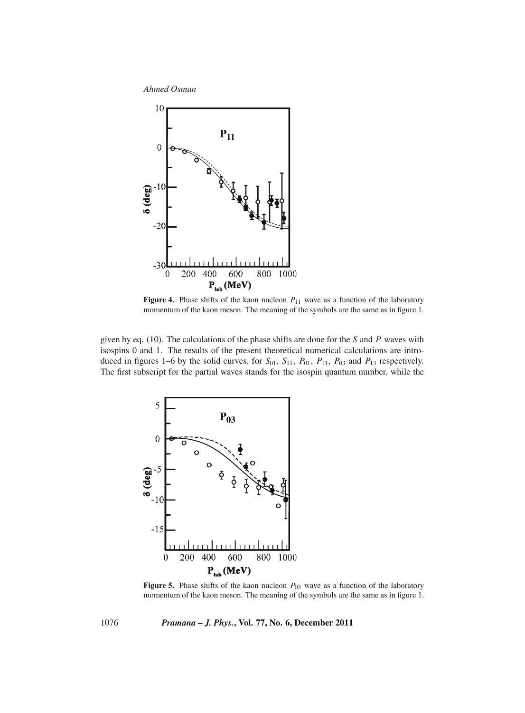

**Figure 4.** Phase shifts of the kaon nucleon  $P_{11}$  wave as a function of the laboratory momentum of the kaon meson. The meaning of the symbols are the same as in figure 1.

given by eq. (10). The calculations of the phase shifts are done for the *S* and *P* waves with isospins 0 and 1. The results of the present theoretical numerical calculations are introduced in figures 1–6 by the solid curves, for  $S_{01}$ ,  $S_{11}$ ,  $P_{01}$ ,  $P_{11}$ ,  $P_{03}$  and  $P_{13}$  respectively. The first subscript for the partial waves stands for the isospin quantum number, while the



**Figure 5.** Phase shifts of the kaon nucleon  $P_{03}$  wave as a function of the laboratory momentum of the kaon meson. The meaning of the symbols are the same as in figure 1.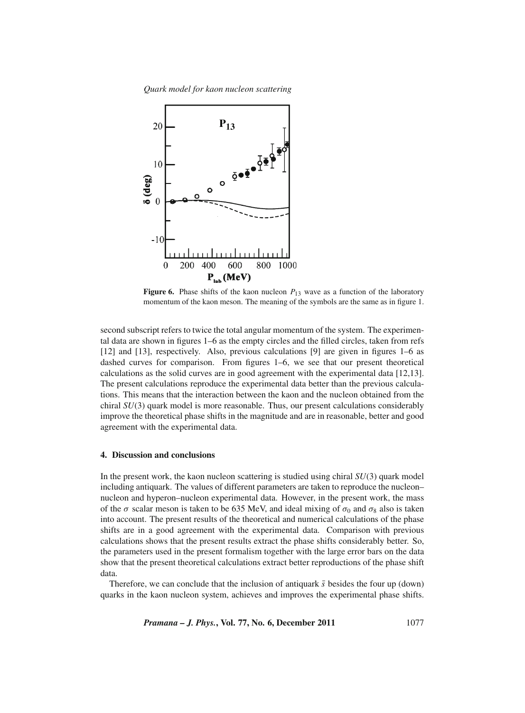*Quark model for kaon nucleon scattering*



**Figure 6.** Phase shifts of the kaon nucleon  $P_{13}$  wave as a function of the laboratory momentum of the kaon meson. The meaning of the symbols are the same as in figure 1.

second subscript refers to twice the total angular momentum of the system. The experimental data are shown in figures 1–6 as the empty circles and the filled circles, taken from refs [12] and [13], respectively. Also, previous calculations [9] are given in figures 1–6 as dashed curves for comparison. From figures 1–6, we see that our present theoretical calculations as the solid curves are in good agreement with the experimental data [12,13]. The present calculations reproduce the experimental data better than the previous calculations. This means that the interaction between the kaon and the nucleon obtained from the chiral *SU*(3) quark model is more reasonable. Thus, our present calculations considerably improve the theoretical phase shifts in the magnitude and are in reasonable, better and good agreement with the experimental data.

## **4. Discussion and conclusions**

In the present work, the kaon nucleon scattering is studied using chiral *SU*(3) quark model including antiquark. The values of different parameters are taken to reproduce the nucleon– nucleon and hyperon–nucleon experimental data. However, in the present work, the mass of the  $\sigma$  scalar meson is taken to be 635 MeV, and ideal mixing of  $\sigma_0$  and  $\sigma_8$  also is taken into account. The present results of the theoretical and numerical calculations of the phase shifts are in a good agreement with the experimental data. Comparison with previous calculations shows that the present results extract the phase shifts considerably better. So, the parameters used in the present formalism together with the large error bars on the data show that the present theoretical calculations extract better reproductions of the phase shift data.

Therefore, we can conclude that the inclusion of antiquark  $\bar{s}$  besides the four up (down) quarks in the kaon nucleon system, achieves and improves the experimental phase shifts.